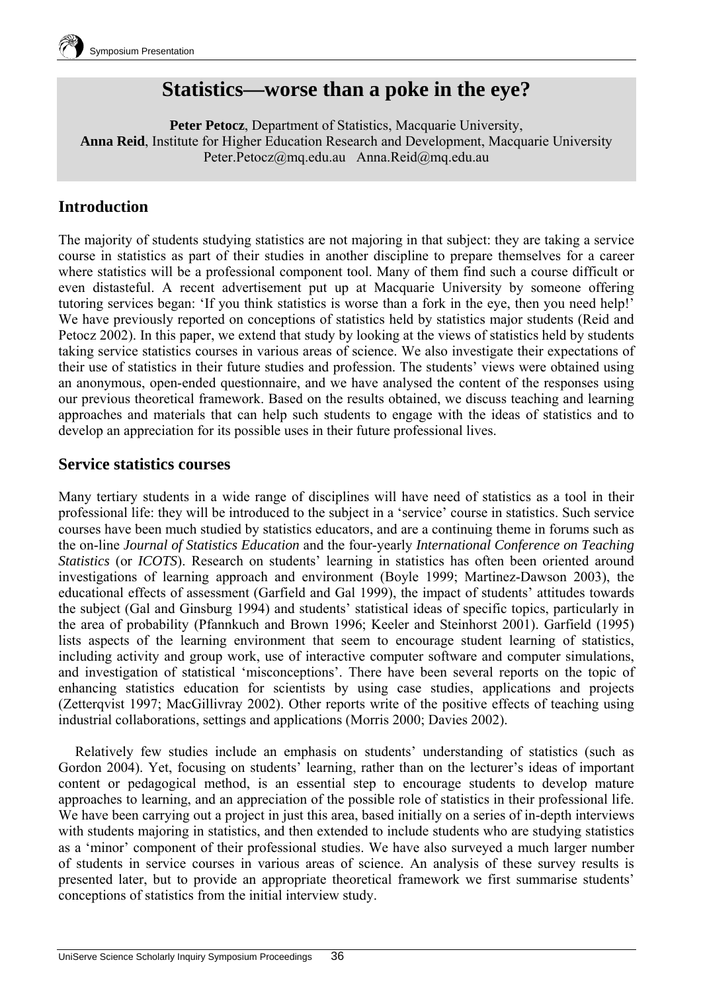

# **Statistics—worse than a poke in the eye?**

**Peter Petocz**, Department of Statistics, Macquarie University, **Anna Reid**, Institute for Higher Education Research and Development, Macquarie University Peter.Petocz@mq.edu.au Anna.Reid@mq.edu.au

# **Introduction**

The majority of students studying statistics are not majoring in that subject: they are taking a service course in statistics as part of their studies in another discipline to prepare themselves for a career where statistics will be a professional component tool. Many of them find such a course difficult or even distasteful. A recent advertisement put up at Macquarie University by someone offering tutoring services began: 'If you think statistics is worse than a fork in the eye, then you need help!' We have previously reported on conceptions of statistics held by statistics major students (Reid and Petocz 2002). In this paper, we extend that study by looking at the views of statistics held by students taking service statistics courses in various areas of science. We also investigate their expectations of their use of statistics in their future studies and profession. The students' views were obtained using an anonymous, open-ended questionnaire, and we have analysed the content of the responses using our previous theoretical framework. Based on the results obtained, we discuss teaching and learning approaches and materials that can help such students to engage with the ideas of statistics and to develop an appreciation for its possible uses in their future professional lives.

#### **Service statistics courses**

Many tertiary students in a wide range of disciplines will have need of statistics as a tool in their professional life: they will be introduced to the subject in a 'service' course in statistics. Such service courses have been much studied by statistics educators, and are a continuing theme in forums such as the on-line *Journal of Statistics Education* and the four-yearly *International Conference on Teaching Statistics* (or *ICOTS*). Research on students' learning in statistics has often been oriented around investigations of learning approach and environment (Boyle 1999; Martinez-Dawson 2003), the educational effects of assessment (Garfield and Gal 1999), the impact of students' attitudes towards the subject (Gal and Ginsburg 1994) and students' statistical ideas of specific topics, particularly in the area of probability (Pfannkuch and Brown 1996; Keeler and Steinhorst 2001). Garfield (1995) lists aspects of the learning environment that seem to encourage student learning of statistics, including activity and group work, use of interactive computer software and computer simulations, and investigation of statistical 'misconceptions'. There have been several reports on the topic of enhancing statistics education for scientists by using case studies, applications and projects (Zetterqvist 1997; MacGillivray 2002). Other reports write of the positive effects of teaching using industrial collaborations, settings and applications (Morris 2000; Davies 2002).

Relatively few studies include an emphasis on students' understanding of statistics (such as Gordon 2004). Yet, focusing on students' learning, rather than on the lecturer's ideas of important content or pedagogical method, is an essential step to encourage students to develop mature approaches to learning, and an appreciation of the possible role of statistics in their professional life. We have been carrying out a project in just this area, based initially on a series of in-depth interviews with students majoring in statistics, and then extended to include students who are studying statistics as a 'minor' component of their professional studies. We have also surveyed a much larger number of students in service courses in various areas of science. An analysis of these survey results is presented later, but to provide an appropriate theoretical framework we first summarise students' conceptions of statistics from the initial interview study.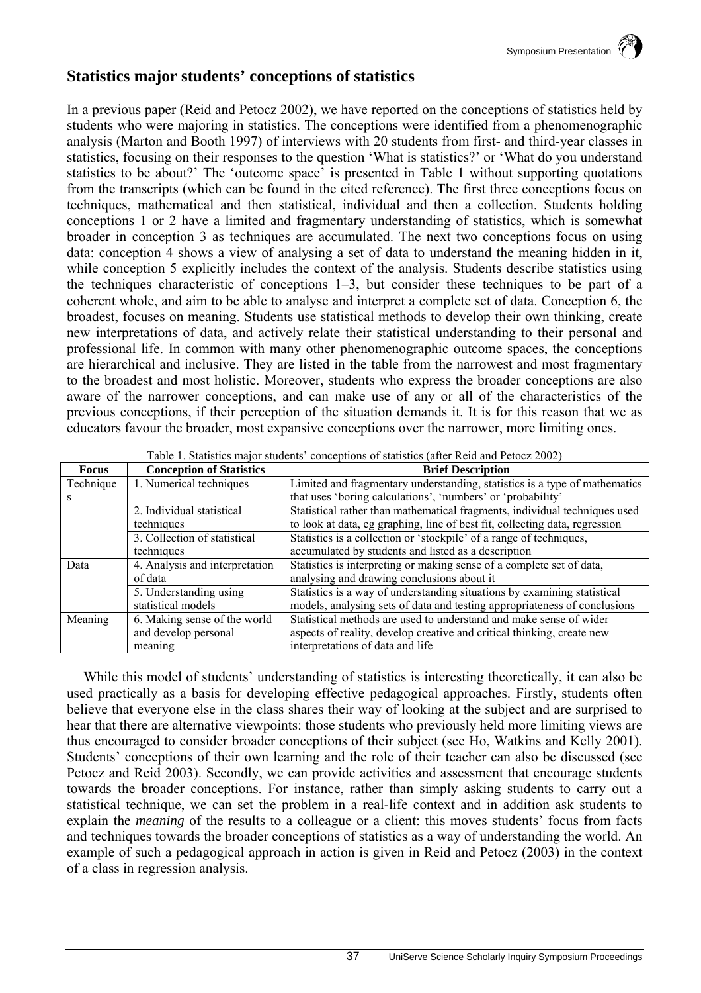# **Statistics major students' conceptions of statistics**

In a previous paper (Reid and Petocz 2002), we have reported on the conceptions of statistics held by students who were majoring in statistics. The conceptions were identified from a phenomenographic analysis (Marton and Booth 1997) of interviews with 20 students from first- and third-year classes in statistics, focusing on their responses to the question 'What is statistics?' or 'What do you understand statistics to be about?' The 'outcome space' is presented in Table 1 without supporting quotations from the transcripts (which can be found in the cited reference). The first three conceptions focus on techniques, mathematical and then statistical, individual and then a collection. Students holding conceptions 1 or 2 have a limited and fragmentary understanding of statistics, which is somewhat broader in conception 3 as techniques are accumulated. The next two conceptions focus on using data: conception 4 shows a view of analysing a set of data to understand the meaning hidden in it, while conception 5 explicitly includes the context of the analysis. Students describe statistics using the techniques characteristic of conceptions 1–3, but consider these techniques to be part of a coherent whole, and aim to be able to analyse and interpret a complete set of data. Conception 6, the broadest, focuses on meaning. Students use statistical methods to develop their own thinking, create new interpretations of data, and actively relate their statistical understanding to their personal and professional life. In common with many other phenomenographic outcome spaces, the conceptions are hierarchical and inclusive. They are listed in the table from the narrowest and most fragmentary to the broadest and most holistic. Moreover, students who express the broader conceptions are also aware of the narrower conceptions, and can make use of any or all of the characteristics of the previous conceptions, if their perception of the situation demands it. It is for this reason that we as educators favour the broader, most expansive conceptions over the narrower, more limiting ones.

| <b>Focus</b> | <b>Conception of Statistics</b> | <b>Brief Description</b>                                                    |
|--------------|---------------------------------|-----------------------------------------------------------------------------|
| Technique    | 1. Numerical techniques         | Limited and fragmentary understanding, statistics is a type of mathematics  |
|              |                                 | that uses 'boring calculations', 'numbers' or 'probability'                 |
|              | 2. Individual statistical       | Statistical rather than mathematical fragments, individual techniques used  |
|              | techniques                      | to look at data, eg graphing, line of best fit, collecting data, regression |
|              | 3. Collection of statistical    | Statistics is a collection or 'stockpile' of a range of techniques,         |
|              | techniques                      | accumulated by students and listed as a description                         |
| Data         | 4. Analysis and interpretation  | Statistics is interpreting or making sense of a complete set of data,       |
|              | of data                         | analysing and drawing conclusions about it                                  |
|              | 5. Understanding using          | Statistics is a way of understanding situations by examining statistical    |
|              | statistical models              | models, analysing sets of data and testing appropriateness of conclusions   |
| Meaning      | 6. Making sense of the world    | Statistical methods are used to understand and make sense of wider          |
|              | and develop personal            | aspects of reality, develop creative and critical thinking, create new      |
|              | meaning                         | interpretations of data and life                                            |

Table 1. Statistics major students' conceptions of statistics (after Reid and Petocz 2002)

While this model of students' understanding of statistics is interesting theoretically, it can also be used practically as a basis for developing effective pedagogical approaches. Firstly, students often believe that everyone else in the class shares their way of looking at the subject and are surprised to hear that there are alternative viewpoints: those students who previously held more limiting views are thus encouraged to consider broader conceptions of their subject (see Ho, Watkins and Kelly 2001). Students' conceptions of their own learning and the role of their teacher can also be discussed (see Petocz and Reid 2003). Secondly, we can provide activities and assessment that encourage students towards the broader conceptions. For instance, rather than simply asking students to carry out a statistical technique, we can set the problem in a real-life context and in addition ask students to explain the *meaning* of the results to a colleague or a client: this moves students' focus from facts and techniques towards the broader conceptions of statistics as a way of understanding the world. An example of such a pedagogical approach in action is given in Reid and Petocz (2003) in the context of a class in regression analysis.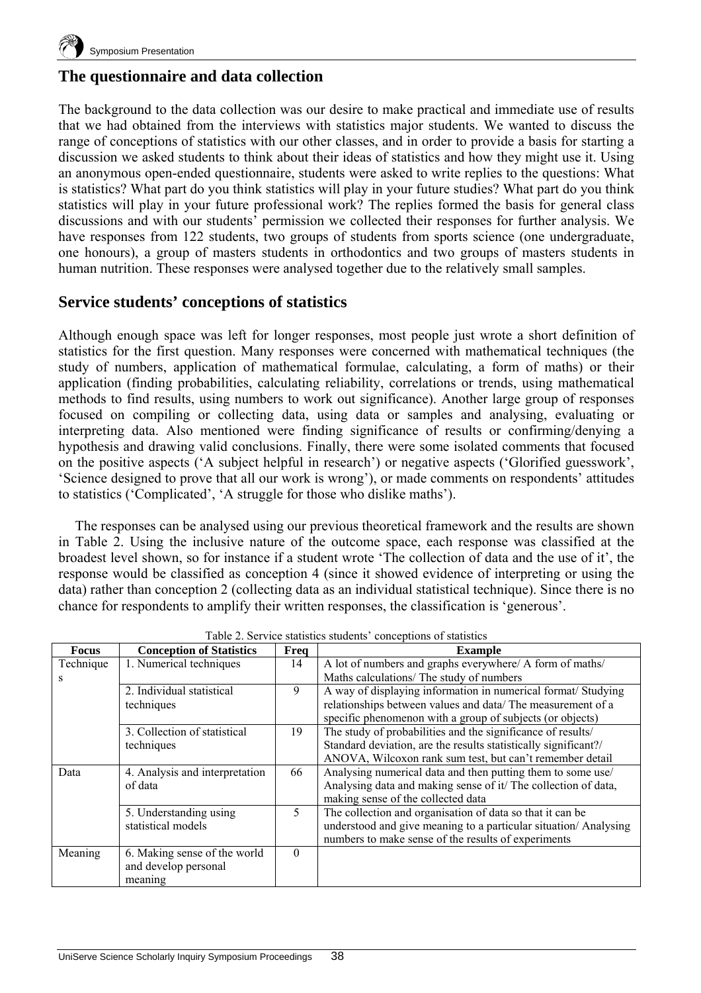

# **The questionnaire and data collection**

The background to the data collection was our desire to make practical and immediate use of results that we had obtained from the interviews with statistics major students. We wanted to discuss the range of conceptions of statistics with our other classes, and in order to provide a basis for starting a discussion we asked students to think about their ideas of statistics and how they might use it. Using an anonymous open-ended questionnaire, students were asked to write replies to the questions: What is statistics? What part do you think statistics will play in your future studies? What part do you think statistics will play in your future professional work? The replies formed the basis for general class discussions and with our students' permission we collected their responses for further analysis. We have responses from 122 students, two groups of students from sports science (one undergraduate, one honours), a group of masters students in orthodontics and two groups of masters students in human nutrition. These responses were analysed together due to the relatively small samples.

# **Service students' conceptions of statistics**

Although enough space was left for longer responses, most people just wrote a short definition of statistics for the first question. Many responses were concerned with mathematical techniques (the study of numbers, application of mathematical formulae, calculating, a form of maths) or their application (finding probabilities, calculating reliability, correlations or trends, using mathematical methods to find results, using numbers to work out significance). Another large group of responses focused on compiling or collecting data, using data or samples and analysing, evaluating or interpreting data. Also mentioned were finding significance of results or confirming/denying a hypothesis and drawing valid conclusions. Finally, there were some isolated comments that focused on the positive aspects ('A subject helpful in research') or negative aspects ('Glorified guesswork', 'Science designed to prove that all our work is wrong'), or made comments on respondents' attitudes to statistics ('Complicated', 'A struggle for those who dislike maths').

The responses can be analysed using our previous theoretical framework and the results are shown in Table 2. Using the inclusive nature of the outcome space, each response was classified at the broadest level shown, so for instance if a student wrote 'The collection of data and the use of it', the response would be classified as conception 4 (since it showed evidence of interpreting or using the data) rather than conception 2 (collecting data as an individual statistical technique). Since there is no chance for respondents to amplify their written responses, the classification is 'generous'.

| ole 2. Set they statistics statistics conceptions of statistic |                                 |          |                                                                  |  |  |  |  |
|----------------------------------------------------------------|---------------------------------|----------|------------------------------------------------------------------|--|--|--|--|
| Focus                                                          | <b>Conception of Statistics</b> | Freq     | <b>Example</b>                                                   |  |  |  |  |
| Technique                                                      | 1. Numerical techniques         | 14       | A lot of numbers and graphs everywhere/ A form of maths/         |  |  |  |  |
| S                                                              |                                 |          | Maths calculations/ The study of numbers                         |  |  |  |  |
|                                                                | 2. Individual statistical       | 9        | A way of displaying information in numerical format/ Studying    |  |  |  |  |
|                                                                | techniques                      |          | relationships between values and data/ The measurement of a      |  |  |  |  |
|                                                                |                                 |          | specific phenomenon with a group of subjects (or objects)        |  |  |  |  |
|                                                                | 3. Collection of statistical    | 19       | The study of probabilities and the significance of results/      |  |  |  |  |
|                                                                | techniques                      |          | Standard deviation, are the results statistically significant?/  |  |  |  |  |
|                                                                |                                 |          | ANOVA, Wilcoxon rank sum test, but can't remember detail         |  |  |  |  |
| Data                                                           | 4. Analysis and interpretation  | 66       | Analysing numerical data and then putting them to some use/      |  |  |  |  |
|                                                                | of data                         |          | Analysing data and making sense of it/ The collection of data,   |  |  |  |  |
|                                                                |                                 |          | making sense of the collected data                               |  |  |  |  |
|                                                                | 5. Understanding using          | 5        | The collection and organisation of data so that it can be        |  |  |  |  |
|                                                                | statistical models              |          | understood and give meaning to a particular situation/ Analysing |  |  |  |  |
|                                                                |                                 |          | numbers to make sense of the results of experiments              |  |  |  |  |
| Meaning                                                        | 6. Making sense of the world    | $\Omega$ |                                                                  |  |  |  |  |
|                                                                | and develop personal            |          |                                                                  |  |  |  |  |
|                                                                | meaning                         |          |                                                                  |  |  |  |  |

Table 2. Service statistics students' conceptions of statistics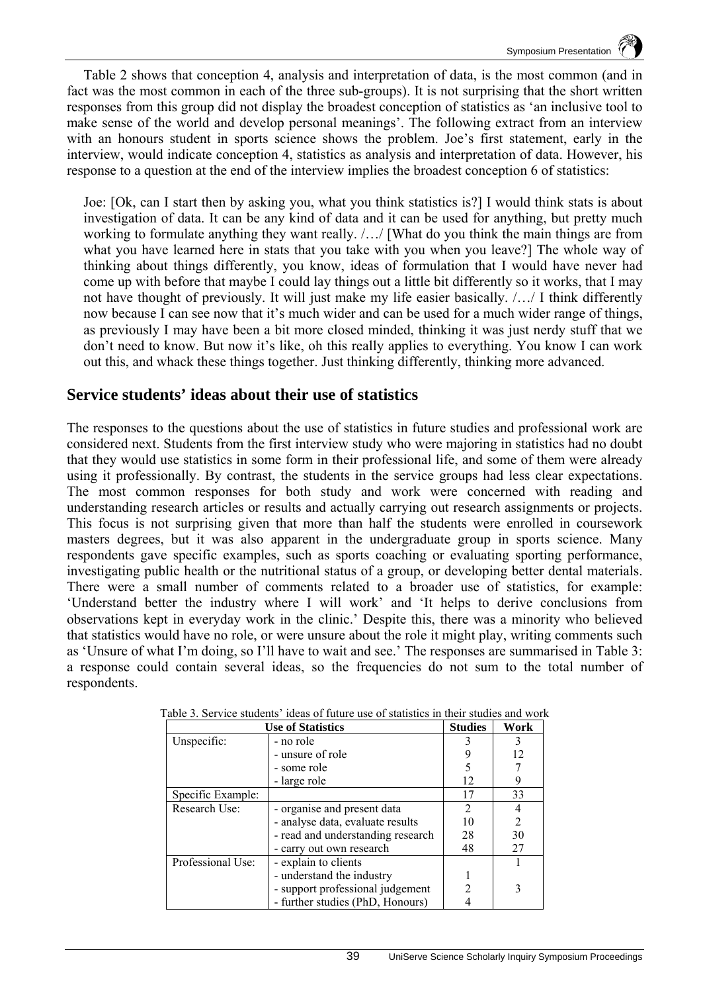Table 2 shows that conception 4, analysis and interpretation of data, is the most common (and in fact was the most common in each of the three sub-groups). It is not surprising that the short written responses from this group did not display the broadest conception of statistics as 'an inclusive tool to make sense of the world and develop personal meanings'. The following extract from an interview with an honours student in sports science shows the problem. Joe's first statement, early in the interview, would indicate conception 4, statistics as analysis and interpretation of data. However, his response to a question at the end of the interview implies the broadest conception 6 of statistics:

Joe: [Ok, can I start then by asking you, what you think statistics is?] I would think stats is about investigation of data. It can be any kind of data and it can be used for anything, but pretty much working to formulate anything they want really. /…/ [What do you think the main things are from what you have learned here in stats that you take with you when you leave?] The whole way of thinking about things differently, you know, ideas of formulation that I would have never had come up with before that maybe I could lay things out a little bit differently so it works, that I may not have thought of previously. It will just make my life easier basically. /…/ I think differently now because I can see now that it's much wider and can be used for a much wider range of things, as previously I may have been a bit more closed minded, thinking it was just nerdy stuff that we don't need to know. But now it's like, oh this really applies to everything. You know I can work out this, and whack these things together. Just thinking differently, thinking more advanced.

## **Service students' ideas about their use of statistics**

The responses to the questions about the use of statistics in future studies and professional work are considered next. Students from the first interview study who were majoring in statistics had no doubt that they would use statistics in some form in their professional life, and some of them were already using it professionally. By contrast, the students in the service groups had less clear expectations. The most common responses for both study and work were concerned with reading and understanding research articles or results and actually carrying out research assignments or projects. This focus is not surprising given that more than half the students were enrolled in coursework masters degrees, but it was also apparent in the undergraduate group in sports science. Many respondents gave specific examples, such as sports coaching or evaluating sporting performance, investigating public health or the nutritional status of a group, or developing better dental materials. There were a small number of comments related to a broader use of statistics, for example: 'Understand better the industry where I will work' and 'It helps to derive conclusions from observations kept in everyday work in the clinic.' Despite this, there was a minority who believed that statistics would have no role, or were unsure about the role it might play, writing comments such as 'Unsure of what I'm doing, so I'll have to wait and see.' The responses are summarised in Table 3: a response could contain several ideas, so the frequencies do not sum to the total number of respondents.

| <b>Use of Statistics</b> | <b>Studies</b>                    | Work |                |
|--------------------------|-----------------------------------|------|----------------|
| Unspecific:              | - no role                         |      | 3              |
|                          | - unsure of role                  |      | 12             |
|                          | - some role                       |      |                |
|                          | - large role                      | 12   |                |
| Specific Example:        |                                   | 17   | 33             |
| Research Use:            | - organise and present data       | 2    |                |
|                          | - analyse data, evaluate results  | 10   | $\overline{2}$ |
|                          | - read and understanding research | 28   | 30             |
|                          | - carry out own research          | 48   | 27             |
| Professional Use:        | - explain to clients              |      |                |
|                          | - understand the industry         |      |                |
|                          | - support professional judgement  |      | 3              |
|                          | - further studies (PhD, Honours)  |      |                |

|  | Table 3. Service students' ideas of future use of statistics in their studies and work |  |  |  |  |  |  |  |
|--|----------------------------------------------------------------------------------------|--|--|--|--|--|--|--|
|  |                                                                                        |  |  |  |  |  |  |  |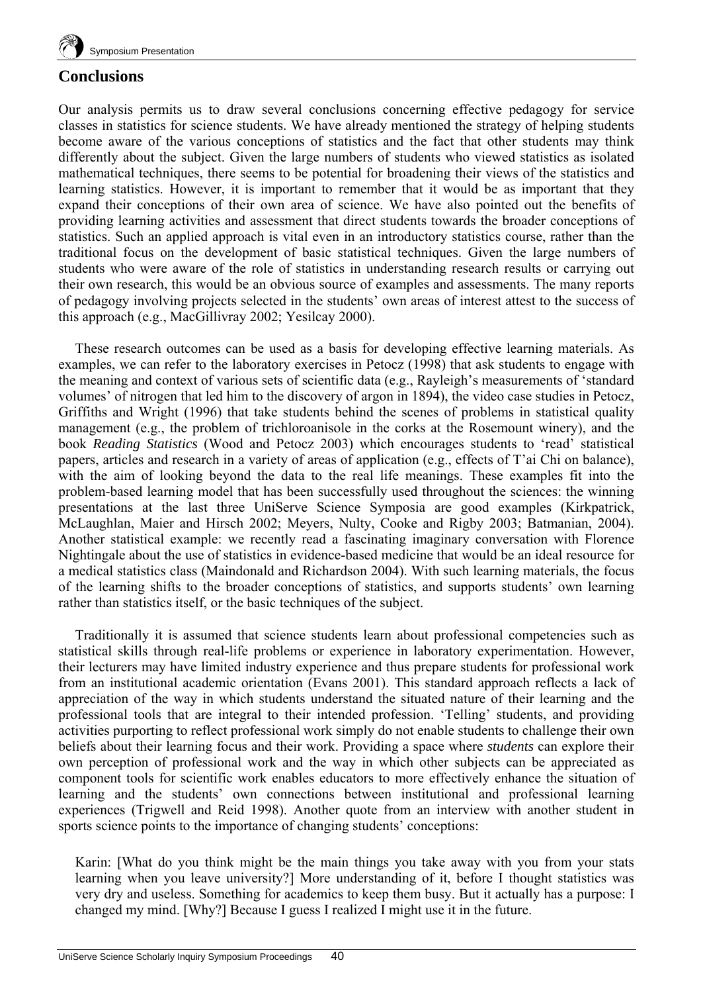

## **Conclusions**

Our analysis permits us to draw several conclusions concerning effective pedagogy for service classes in statistics for science students. We have already mentioned the strategy of helping students become aware of the various conceptions of statistics and the fact that other students may think differently about the subject. Given the large numbers of students who viewed statistics as isolated mathematical techniques, there seems to be potential for broadening their views of the statistics and learning statistics. However, it is important to remember that it would be as important that they expand their conceptions of their own area of science. We have also pointed out the benefits of providing learning activities and assessment that direct students towards the broader conceptions of statistics. Such an applied approach is vital even in an introductory statistics course, rather than the traditional focus on the development of basic statistical techniques. Given the large numbers of students who were aware of the role of statistics in understanding research results or carrying out their own research, this would be an obvious source of examples and assessments. The many reports of pedagogy involving projects selected in the students' own areas of interest attest to the success of this approach (e.g., MacGillivray 2002; Yesilcay 2000).

These research outcomes can be used as a basis for developing effective learning materials. As examples, we can refer to the laboratory exercises in Petocz (1998) that ask students to engage with the meaning and context of various sets of scientific data (e.g., Rayleigh's measurements of 'standard volumes' of nitrogen that led him to the discovery of argon in 1894), the video case studies in Petocz, Griffiths and Wright (1996) that take students behind the scenes of problems in statistical quality management (e.g., the problem of trichloroanisole in the corks at the Rosemount winery), and the book *Reading Statistics* (Wood and Petocz 2003) which encourages students to 'read' statistical papers, articles and research in a variety of areas of application (e.g., effects of T'ai Chi on balance), with the aim of looking beyond the data to the real life meanings. These examples fit into the problem-based learning model that has been successfully used throughout the sciences: the winning presentations at the last three UniServe Science Symposia are good examples (Kirkpatrick, McLaughlan, Maier and Hirsch 2002; Meyers, Nulty, Cooke and Rigby 2003; Batmanian, 2004). Another statistical example: we recently read a fascinating imaginary conversation with Florence Nightingale about the use of statistics in evidence-based medicine that would be an ideal resource for a medical statistics class (Maindonald and Richardson 2004). With such learning materials, the focus of the learning shifts to the broader conceptions of statistics, and supports students' own learning rather than statistics itself, or the basic techniques of the subject.

Traditionally it is assumed that science students learn about professional competencies such as statistical skills through real-life problems or experience in laboratory experimentation. However, their lecturers may have limited industry experience and thus prepare students for professional work from an institutional academic orientation (Evans 2001). This standard approach reflects a lack of appreciation of the way in which students understand the situated nature of their learning and the professional tools that are integral to their intended profession. 'Telling' students, and providing activities purporting to reflect professional work simply do not enable students to challenge their own beliefs about their learning focus and their work. Providing a space where *students* can explore their own perception of professional work and the way in which other subjects can be appreciated as component tools for scientific work enables educators to more effectively enhance the situation of learning and the students' own connections between institutional and professional learning experiences (Trigwell and Reid 1998). Another quote from an interview with another student in sports science points to the importance of changing students' conceptions:

Karin: [What do you think might be the main things you take away with you from your stats learning when you leave university?] More understanding of it, before I thought statistics was very dry and useless. Something for academics to keep them busy. But it actually has a purpose: I changed my mind. [Why?] Because I guess I realized I might use it in the future.